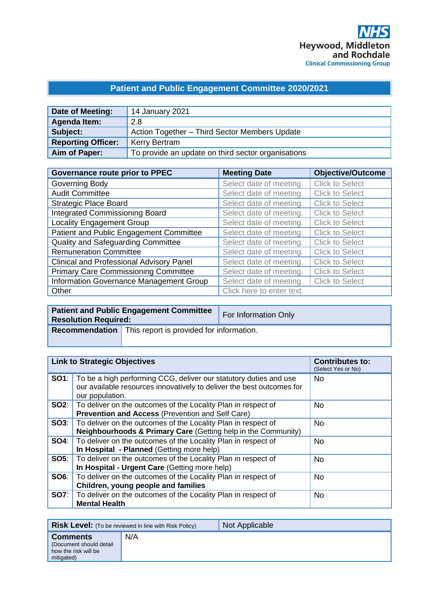# **Patient and Public Engagement Committee 2020/2021**

| Date of Meeting:          | 14 January 2021                                    |
|---------------------------|----------------------------------------------------|
| Agenda Item:              | 2.8                                                |
| Subject:                  | Action Together - Third Sector Members Update      |
| <b>Reporting Officer:</b> | <b>Kerry Bertram</b>                               |
| Aim of Paper:             | To provide an update on third sector organisations |

| <b>Governance route prior to PPEC</b>           | <b>Meeting Date</b>       | <b>Objective/Outcome</b> |
|-------------------------------------------------|---------------------------|--------------------------|
| Governing Body                                  | Select date of meeting.   | <b>Click to Select</b>   |
| <b>Audit Committee</b>                          | Select date of meeting.   | <b>Click to Select</b>   |
| <b>Strategic Place Board</b>                    | Select date of meeting.   | <b>Click to Select</b>   |
| <b>Integrated Commissioning Board</b>           | Select date of meeting.   | <b>Click to Select</b>   |
| <b>Locality Engagement Group</b>                | Select date of meeting.   | <b>Click to Select</b>   |
| Patient and Public Engagement Committee         | Select date of meeting.   | <b>Click to Select</b>   |
| Quality and Safeguarding Committee              | Select date of meeting.   | <b>Click to Select</b>   |
| <b>Remuneration Committee</b>                   | Select date of meeting.   | <b>Click to Select</b>   |
| <b>Clinical and Professional Advisory Panel</b> | Select date of meeting.   | <b>Click to Select</b>   |
| <b>Primary Care Commissioning Committee</b>     | Select date of meeting.   | <b>Click to Select</b>   |
| Information Governance Management Group         | Select date of meeting.   | <b>Click to Select</b>   |
| Other                                           | Click here to enter text. |                          |

| <b>Resolution Required:</b> | <b>Patient and Public Engagement Committee</b>                 | For Information Only |
|-----------------------------|----------------------------------------------------------------|----------------------|
|                             | <b>Recommendation</b> This report is provided for information. |                      |

| <b>Link to Strategic Objectives</b> |                                                                                                                                                                            | <b>Contributes to:</b><br>(Select Yes or No) |
|-------------------------------------|----------------------------------------------------------------------------------------------------------------------------------------------------------------------------|----------------------------------------------|
|                                     | <b>SO1</b> : To be a high performing CCG, deliver our statutory duties and use<br>our available resources innovatively to deliver the best outcomes for<br>our population. | <b>No</b>                                    |
|                                     | <b>SO2:</b>   To deliver on the outcomes of the Locality Plan in respect of<br><b>Prevention and Access (Prevention and Self Care)</b>                                     | No.                                          |
|                                     | <b>SO3:</b>   To deliver on the outcomes of the Locality Plan in respect of<br>Neighbourhoods & Primary Care (Getting help in the Community)                               | <b>No</b>                                    |
|                                     | <b>SO4:</b> To deliver on the outcomes of the Locality Plan in respect of<br>In Hospital - Planned (Getting more help)                                                     | <b>No</b>                                    |
|                                     | <b>SO5:</b> To deliver on the outcomes of the Locality Plan in respect of<br>In Hospital - Urgent Care (Getting more help)                                                 | <b>No</b>                                    |
|                                     | <b>SO6:</b>   To deliver on the outcomes of the Locality Plan in respect of<br>Children, young people and families                                                         | <b>No</b>                                    |
|                                     | <b>SO7:</b>   To deliver on the outcomes of the Locality Plan in respect of<br><b>Mental Health</b>                                                                        | <b>No</b>                                    |

|                                                                                  | <b>Risk Level:</b> (To be reviewed in line with Risk Policy) | Not Applicable |
|----------------------------------------------------------------------------------|--------------------------------------------------------------|----------------|
| <b>Comments</b><br>(Document should detail<br>how the risk will be<br>mitigated) | N/A                                                          |                |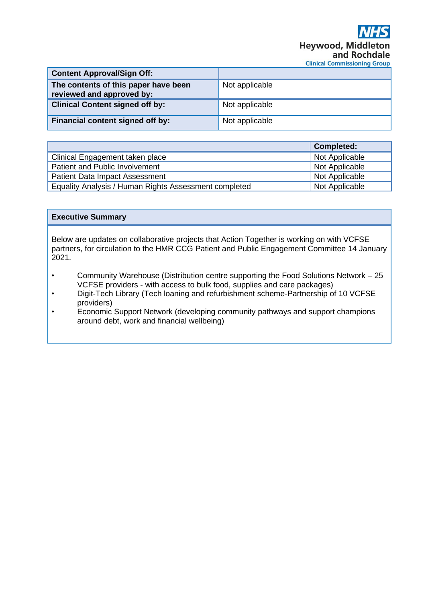# **Heywood, Middle** and Rochdale **Clinical Commissioning Group**

| <b>Content Approval/Sign Off:</b>                                 |                |
|-------------------------------------------------------------------|----------------|
| The contents of this paper have been<br>reviewed and approved by: | Not applicable |
| <b>Clinical Content signed off by:</b>                            | Not applicable |
| Financial content signed off by:                                  | Not applicable |

|                                                       | <b>Completed:</b> |
|-------------------------------------------------------|-------------------|
| Clinical Engagement taken place                       | Not Applicable    |
| Patient and Public Involvement                        | Not Applicable    |
| <b>Patient Data Impact Assessment</b>                 | Not Applicable    |
| Equality Analysis / Human Rights Assessment completed | Not Applicable    |

## **Executive Summary**

Below are updates on collaborative projects that Action Together is working on with VCFSE partners, for circulation to the HMR CCG Patient and Public Engagement Committee 14 January 2021.

- Community Warehouse (Distribution centre supporting the Food Solutions Network 25 VCFSE providers - with access to bulk food, supplies and care packages)
- Digit-Tech Library (Tech loaning and refurbishment scheme-Partnership of 10 VCFSE providers)
- Economic Support Network (developing community pathways and support champions around debt, work and financial wellbeing)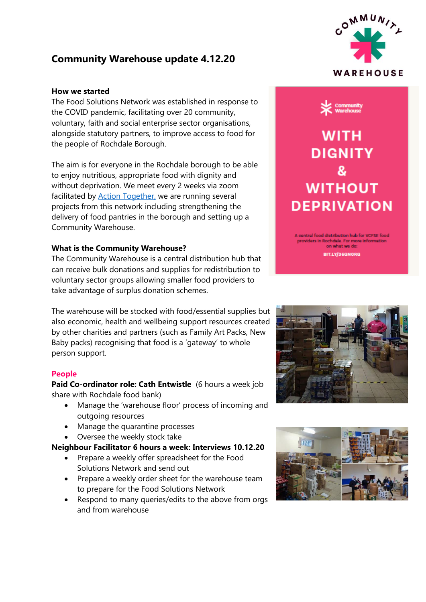# **Community Warehouse update 4.12.20**

## **How we started**

The Food Solutions Network was established in response to the COVID pandemic, facilitating over 20 community, voluntary, faith and social enterprise sector organisations, alongside statutory partners, to improve access to food for the people of Rochdale Borough.

The aim is for everyone in the Rochdale borough to be able to enjoy nutritious, appropriate food with dignity and without deprivation. We meet every 2 weeks via zoom facilitated by Action [Together,](https://www.actiontogether.org.uk/about-us) we are running several projects from this network including strengthening the delivery of food pantries in the borough and setting up a Community Warehouse.

### **What is the Community Warehouse?**

The Community Warehouse is a central distribution hub that can receive bulk donations and supplies for redistribution to voluntary sector groups allowing smaller food providers to take advantage of surplus donation schemes.

The warehouse will be stocked with food/essential supplies but also economic, health and wellbeing support resources created by other charities and partners (such as Family Art Packs, New Baby packs) recognising that food is a 'gateway' to whole person support.

### **People**

**Paid Co-ordinator role: Cath Entwistle** (6 hours a week job share with Rochdale food bank)

- Manage the 'warehouse floor' process of incoming and outgoing resources
- Manage the quarantine processes
- Oversee the weekly stock take

# **Neighbour Facilitator 6 hours a week: Interviews 10.12.20**

- Prepare a weekly offer spreadsheet for the Food Solutions Network and send out
- Prepare a weekly order sheet for the warehouse team to prepare for the Food Solutions Network
- Respond to many queries/edits to the above from orgs and from warehouse





on what we do BIT.LY/36GNORG



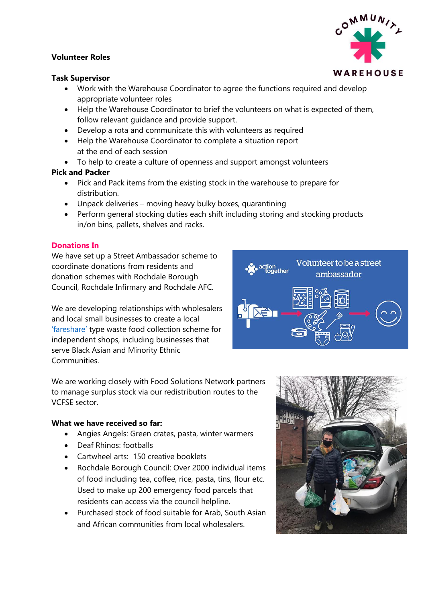# **Volunteer Roles**

## **Task Supervisor**

- Work with the Warehouse Coordinator to agree the functions required and develop appropriate volunteer roles
- Help the Warehouse Coordinator to brief the volunteers on what is expected of them, follow relevant guidance and provide support.
- Develop a rota and communicate this with volunteers as required
- Help the Warehouse Coordinator to complete a situation report at the end of each session
- To help to create a culture of openness and support amongst volunteers

# **Pick and Packer**

- Pick and Pack items from the existing stock in the warehouse to prepare for distribution.
- Unpack deliveries moving heavy bulky boxes, quarantining
- Perform general stocking duties each shift including storing and stocking products in/on bins, pallets, shelves and racks.

# **Donations In**

We have set up a Street Ambassador scheme to coordinate donations from residents and donation schemes with Rochdale Borough Council, Rochdale Infirmary and Rochdale AFC.

We are developing relationships with wholesalers and local small businesses to create a local ['fareshare'](https://fareshare.org.uk/) type waste food collection scheme for independent shops, including businesses that serve Black Asian and Minority Ethnic Communities.

We are working closely with Food Solutions Network partners to manage surplus stock via our redistribution routes to the VCFSE sector.

## **What we have received so far:**

- Angies Angels: Green crates, pasta, winter warmers
- Deaf Rhinos: footballs
- Cartwheel arts: 150 creative booklets
- Rochdale Borough Council: Over 2000 individual items of food including tea, coffee, rice, pasta, tins, flour etc. Used to make up 200 emergency food parcels that residents can access via the council helpline.
- Purchased stock of food suitable for Arab, South Asian and African communities from local wholesalers.





OMMUN



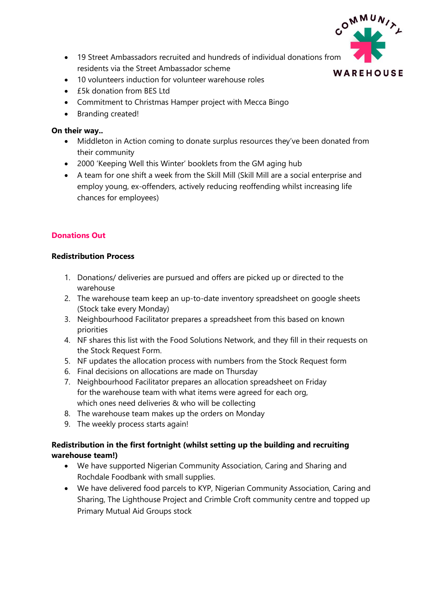

- 19 Street Ambassadors recruited and hundreds of individual donations from residents via the Street Ambassador scheme
- 10 volunteers induction for volunteer warehouse roles
- £5k donation from BES Ltd
- Commitment to Christmas Hamper project with Mecca Bingo
- Branding created!

## **On their way..**

- Middleton in Action coming to donate surplus resources they've been donated from their community
- 2000 'Keeping Well this Winter' booklets from the GM aging hub
- A team for one shift a week from the Skill Mill (Skill Mill are a social enterprise and employ young, ex-offenders, actively reducing reoffending whilst increasing life chances for employees)

# **Donations Out**

## **Redistribution Process**

- 1. Donations/ deliveries are pursued and offers are picked up or directed to the warehouse
- 2. The warehouse team keep an up-to-date inventory spreadsheet on google sheets (Stock take every Monday)
- 3. Neighbourhood Facilitator prepares a spreadsheet from this based on known priorities
- 4. NF shares this list with the Food Solutions Network, and they fill in their requests on the Stock Request Form.
- 5. NF updates the allocation process with numbers from the Stock Request form
- 6. Final decisions on allocations are made on Thursday
- 7. Neighbourhood Facilitator prepares an allocation spreadsheet on Friday for the warehouse team with what items were agreed for each org, which ones need deliveries & who will be collecting
- 8. The warehouse team makes up the orders on Monday
- 9. The weekly process starts again!

# **Redistribution in the first fortnight (whilst setting up the building and recruiting warehouse team!)**

- We have supported Nigerian Community Association, Caring and Sharing and Rochdale Foodbank with small supplies.
- We have delivered food parcels to KYP, Nigerian Community Association, Caring and Sharing, The Lighthouse Project and Crimble Croft community centre and topped up Primary Mutual Aid Groups stock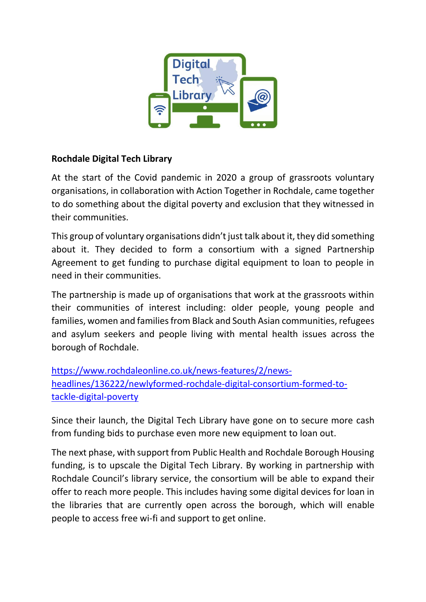

# **Rochdale Digital Tech Library**

At the start of the Covid pandemic in 2020 a group of grassroots voluntary organisations, in collaboration with Action Together in Rochdale, came together to do something about the digital poverty and exclusion that they witnessed in their communities.

This group of voluntary organisations didn't just talk about it, they did something about it. They decided to form a consortium with a signed Partnership Agreement to get funding to purchase digital equipment to loan to people in need in their communities.

The partnership is made up of organisations that work at the grassroots within their communities of interest including: older people, young people and families, women and families from Black and South Asian communities, refugees and asylum seekers and people living with mental health issues across the borough of Rochdale.

[https://www.rochdaleonline.co.uk/news-features/2/news](https://www.rochdaleonline.co.uk/news-features/2/news-headlines/136222/newlyformed-rochdale-digital-consortium-formed-to-tackle-digital-poverty)[headlines/136222/newlyformed-rochdale-digital-consortium-formed-to](https://www.rochdaleonline.co.uk/news-features/2/news-headlines/136222/newlyformed-rochdale-digital-consortium-formed-to-tackle-digital-poverty)[tackle-digital-poverty](https://www.rochdaleonline.co.uk/news-features/2/news-headlines/136222/newlyformed-rochdale-digital-consortium-formed-to-tackle-digital-poverty)

Since their launch, the Digital Tech Library have gone on to secure more cash from funding bids to purchase even more new equipment to loan out.

The next phase, with support from Public Health and Rochdale Borough Housing funding, is to upscale the Digital Tech Library. By working in partnership with Rochdale Council's library service, the consortium will be able to expand their offer to reach more people. This includes having some digital devices for loan in the libraries that are currently open across the borough, which will enable people to access free wi-fi and support to get online.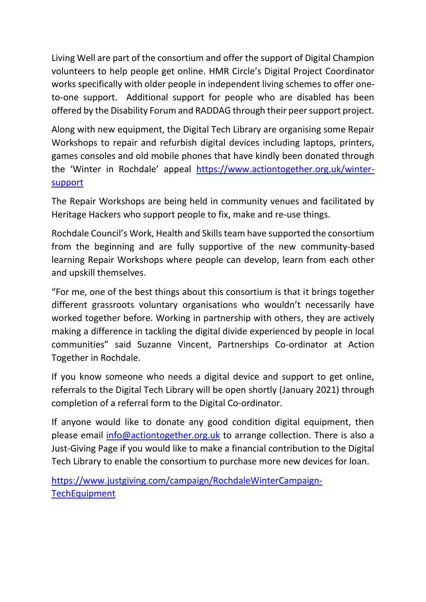Living Well are part of the consortium and offer the support of Digital Champion volunteers to help people get online. HMR Circle's Digital Project Coordinator works specifically with older people in independent living schemes to offer oneto-one support. Additional support for people who are disabled has been offered by the Disability Forum and RADDAG through their peer support project.

Along with new equipment, the Digital Tech Library are organising some Repair Workshops to repair and refurbish digital devices including laptops, printers, games consoles and old mobile phones that have kindly been donated through the 'Winter in Rochdale' appeal [https://www.actiontogether.org.uk/winter](https://www.actiontogether.org.uk/winter-support)[support](https://www.actiontogether.org.uk/winter-support)

The Repair Workshops are being held in community venues and facilitated by Heritage Hackers who support people to fix, make and re-use things.

Rochdale Council's Work, Health and Skills team have supported the consortium from the beginning and are fully supportive of the new community-based learning Repair Workshops where people can develop, learn from each other and upskill themselves.

"For me, one of the best things about this consortium is that it brings together different grassroots voluntary organisations who wouldn't necessarily have worked together before. Working in partnership with others, they are actively making a difference in tackling the digital divide experienced by people in local communities" said Suzanne Vincent, Partnerships Co-ordinator at Action Together in Rochdale.

If you know someone who needs a digital device and support to get online, referrals to the Digital Tech Library will be open shortly (January 2021) through completion of a referral form to the Digital Co-ordinator.

If anyone would like to donate any good condition digital equipment, then please email [info@actiontogether.org.uk](mailto:info@actiontogether.org.uk) to arrange collection. There is also a Just-Giving Page if you would like to make a financial contribution to the Digital Tech Library to enable the consortium to purchase more new devices for loan.

[https://www.justgiving.com/campaign/RochdaleWinterCampaign-](https://www.justgiving.com/campaign/RochdaleWinterCampaign-TechEquipment)**[TechEquipment](https://www.justgiving.com/campaign/RochdaleWinterCampaign-TechEquipment)**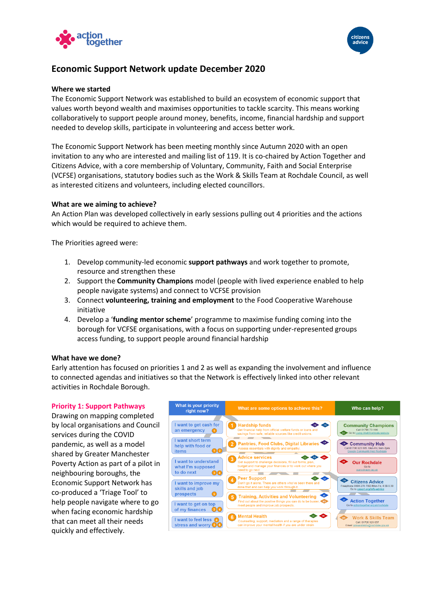



# **Economic Support Network update December 2020**

#### **Where we started**

The Economic Support Network was established to build an ecosystem of economic support that values worth beyond wealth and maximises opportunities to tackle scarcity. This means working collaboratively to support people around money, benefits, income, financial hardship and support needed to develop skills, participate in volunteering and access better work.

The Economic Support Network has been meeting monthly since Autumn 2020 with an open invitation to any who are interested and mailing list of 119. It is co-chaired by Action Together and Citizens Advice, with a core membership of Voluntary, Community, Faith and Social Enterprise (VCFSE) organisations, statutory bodies such as the Work & Skills Team at Rochdale Council, as well as interested citizens and volunteers, including elected councillors.

#### **What are we aiming to achieve?**

An Action Plan was developed collectively in early sessions pulling out 4 priorities and the actions which would be required to achieve them.

The Priorities agreed were:

- 1. Develop community-led economic **support pathways** and work together to promote, resource and strengthen these
- 2. Support the **Community Champions** model (people with lived experience enabled to help people navigate systems) and connect to VCFSE provision
- 3. Connect **volunteering, training and employment** to the Food Cooperative Warehouse initiative
- 4. Develop a '**funding mentor scheme**' programme to maximise funding coming into the borough for VCFSE organisations, with a focus on supporting under-represented groups access funding, to support people around financial hardship

#### **What have we done?**

Early attention has focused on priorities 1 and 2 as well as expanding the involvement and influence to connected agendas and initiatives so that the Network is effectively linked into other relevant activities in Rochdale Borough.

#### **Priority 1: Support Pathways**

Drawing on mapping completed by local organisations and Council services during the COVID pandemic, as well as a model shared by Greater Manchester Poverty Action as part of a pilot in neighbouring boroughs, the Economic Support Network has co-produced a 'Triage Tool' to help people navigate where to go when facing economic hardship that can meet all their needs quickly and effectively.